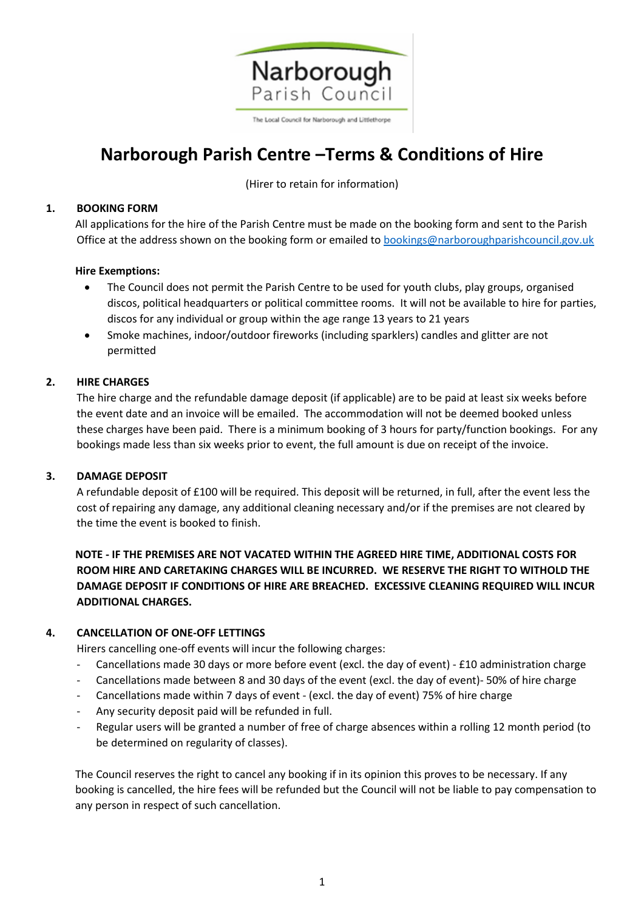

The Local Council for Narborough and Littlethorpe

# **Narborough Parish Centre –Terms & Conditions of Hire**

(Hirer to retain for information)

# **1. BOOKING FORM**

All applications for the hire of the Parish Centre must be made on the booking form and sent to the Parish Office at the address shown on the booking form or emailed t[o bookings@narboroughparishcouncil.gov.uk](mailto:bookins@narboroughparishcouncil.gov.uk)

# **Hire Exemptions:**

- The Council does not permit the Parish Centre to be used for youth clubs, play groups, organised discos, political headquarters or political committee rooms. It will not be available to hire for parties, discos for any individual or group within the age range 13 years to 21 years
- Smoke machines, indoor/outdoor fireworks (including sparklers) candles and glitter are not permitted

# **2. HIRE CHARGES**

The hire charge and the refundable damage deposit (if applicable) are to be paid at least six weeks before the event date and an invoice will be emailed. The accommodation will not be deemed booked unless these charges have been paid. There is a minimum booking of 3 hours for party/function bookings. For any bookings made less than six weeks prior to event, the full amount is due on receipt of the invoice.

# **3. DAMAGE DEPOSIT**

A refundable deposit of £100 will be required. This deposit will be returned, in full, after the event less the cost of repairing any damage, any additional cleaning necessary and/or if the premises are not cleared by the time the event is booked to finish.

**NOTE - IF THE PREMISES ARE NOT VACATED WITHIN THE AGREED HIRE TIME, ADDITIONAL COSTS FOR ROOM HIRE AND CARETAKING CHARGES WILL BE INCURRED. WE RESERVE THE RIGHT TO WITHOLD THE DAMAGE DEPOSIT IF CONDITIONS OF HIRE ARE BREACHED. EXCESSIVE CLEANING REQUIRED WILL INCUR ADDITIONAL CHARGES.**

# **4. CANCELLATION OF ONE-OFF LETTINGS**

Hirers cancelling one-off events will incur the following charges:

- Cancellations made 30 days or more before event (excl. the day of event) £10 administration charge
- Cancellations made between 8 and 30 days of the event (excl. the day of event)- 50% of hire charge
- Cancellations made within 7 days of event (excl. the day of event) 75% of hire charge
- Any security deposit paid will be refunded in full.
- Regular users will be granted a number of free of charge absences within a rolling 12 month period (to be determined on regularity of classes).

The Council reserves the right to cancel any booking if in its opinion this proves to be necessary. If any booking is cancelled, the hire fees will be refunded but the Council will not be liable to pay compensation to any person in respect of such cancellation.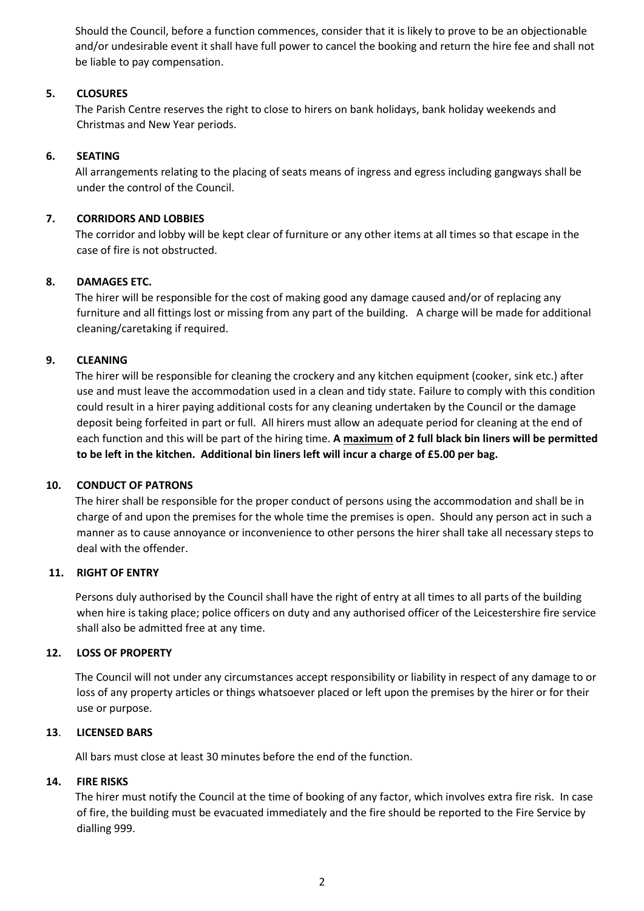Should the Council, before a function commences, consider that it is likely to prove to be an objectionable and/or undesirable event it shall have full power to cancel the booking and return the hire fee and shall not be liable to pay compensation.

### **5. CLOSURES**

The Parish Centre reserves the right to close to hirers on bank holidays, bank holiday weekends and Christmas and New Year periods.

### **6. SEATING**

All arrangements relating to the placing of seats means of ingress and egress including gangways shall be under the control of the Council.

### **7. CORRIDORS AND LOBBIES**

The corridor and lobby will be kept clear of furniture or any other items at all times so that escape in the case of fire is not obstructed.

### **8. DAMAGES ETC.**

The hirer will be responsible for the cost of making good any damage caused and/or of replacing any furniture and all fittings lost or missing from any part of the building. A charge will be made for additional cleaning/caretaking if required.

### **9. CLEANING**

The hirer will be responsible for cleaning the crockery and any kitchen equipment (cooker, sink etc.) after use and must leave the accommodation used in a clean and tidy state. Failure to comply with this condition could result in a hirer paying additional costs for any cleaning undertaken by the Council or the damage deposit being forfeited in part or full. All hirers must allow an adequate period for cleaning at the end of each function and this will be part of the hiring time. **A maximum of 2 full black bin liners will be permitted to be left in the kitchen. Additional bin liners left will incur a charge of £5.00 per bag.**

#### **10. CONDUCT OF PATRONS**

The hirer shall be responsible for the proper conduct of persons using the accommodation and shall be in charge of and upon the premises for the whole time the premises is open. Should any person act in such a manner as to cause annoyance or inconvenience to other persons the hirer shall take all necessary steps to deal with the offender.

#### **11. RIGHT OF ENTRY**

Persons duly authorised by the Council shall have the right of entry at all times to all parts of the building when hire is taking place; police officers on duty and any authorised officer of the Leicestershire fire service shall also be admitted free at any time.

#### **12. LOSS OF PROPERTY**

The Council will not under any circumstances accept responsibility or liability in respect of any damage to or loss of any property articles or things whatsoever placed or left upon the premises by the hirer or for their use or purpose.

#### **13**. **LICENSED BARS**

All bars must close at least 30 minutes before the end of the function.

#### **14. FIRE RISKS**

The hirer must notify the Council at the time of booking of any factor, which involves extra fire risk. In case of fire, the building must be evacuated immediately and the fire should be reported to the Fire Service by dialling 999.